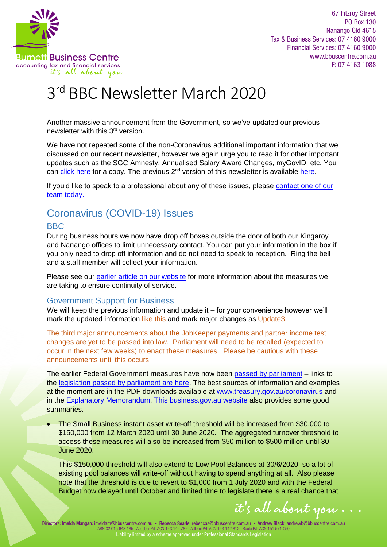

67 Fitzroy Street PO Box 130 Nanango Qld 4615 Tax & Business Services: 07 4160 9000 Financial Services: 07 4160 9000 www.bbuscentre.com.au F: 07 4163 1088

# 3 rd BBC Newsletter March 2020

Another massive announcement from the Government, so we've updated our previous newsletter with this 3rd version.

We have not repeated some of the non-Coronavirus additional important information that we discussed on our recent newsletter, however we again urge you to read it for other important updates such as the SGC Amnesty, Annualised Salary Award Changes, myGovID, etc. You can [click here](https://www.bbuscentre.com.au/wp-content/uploads/2020/03/2020-03b-BBC-Newsletter-LH.pdf) for a copy. The previous 2<sup>nd</sup> version of this newsletter is available [here.](https://www.bbuscentre.com.au/wp-content/uploads/2020/03/2020-03d-2nd-BBC-Newsletter-LH.pdf)

If you'd like to speak to a professional about any of these issues, please contact one of our [team today.](https://www.vision6.com.au/ch/28000/2ccvsw7/2316496/F93KKNOOekGcvr0kCnGAIIJWXs4tCEgsOMBxSMo..html) 

# Coronavirus (COVID-19) Issues

# BBC

During business hours we now have drop off boxes outside the door of both our Kingaroy and Nanango offices to limit unnecessary contact. You can put your information in the box if you only need to drop off information and do not need to speak to reception. Ring the bell and a staff member will collect your information.

Please see our earlier [article on our website](https://www.bbuscentre.com.au/coronavirus-bbc/) for more information about the measures we are taking to ensure continuity of service.

## Government Support for Business

We will keep the previous information and update it – for your convenience however we'll mark the updated information like this and mark major changes as Update3.

The third major announcements about the JobKeeper payments and partner income test changes are yet to be passed into law. Parliament will need to be recalled (expected to occur in the next few weeks) to enact these measures. Please be cautious with these announcements until this occurs.

The earlier Federal Government measures have now been [passed by parliament](https://www.abc.net.au/news/2020-03-23/coronavirus-economic-stimulus-passes-parliament/12080388) – links to the [legislation passed by parliament are here.](https://www.aph.gov.au/Parliamentary_Business/Bills_Legislation/Bills_Search_Results?__VIEWSTATEGENERATOR=20B6B7A5&st=2&sr=0&q=corona&ito=1&expand=False&drvH=7&drt=2&pnu=46&pnuH=46&f=02%2F07%2F2019&to=23%2F03%2F2020&pf=dd%2Fmm%2Fyyyy&pto=dd%2Fmm%2Fyyyy&bs=1&pbh=1&bhor=1&pmb=1&g=1) The best sources of information and examples at the moment are in the PDF downloads available at [www.treasury.gov.au/coronavirus](http://www.treasury.gov.au/coronavirus) and in th[e Explanatory Memorandum.](https://parlinfo.aph.gov.au/parlInfo/download/legislation/ems/r6521_ems_84ea9dda-1a44-44b8-878b-68c376cbed56/upload_pdf/734816.pdf;fileType=application%2Fpdf) [This business.gov.au website](https://www.business.gov.au/Risk-management/Emergency-management/Coronavirus-information-and-support-for-business) also provides some good summaries.

 The Small Business instant asset write-off threshold will be increased from \$30,000 to \$150,000 from 12 March 2020 until 30 June 2020. The aggregated turnover threshold to access these measures will also be increased from \$50 million to \$500 million until 30 June 2020.

This \$150,000 threshold will also extend to Low Pool Balances at 30/6/2020, so a lot of existing pool balances will write-off without having to spend anything at all. Also please note that the threshold is due to revert to \$1,000 from 1 July 2020 and with the Federal Budget now delayed until October and limited time to legislate there is a real chance that

it's all about you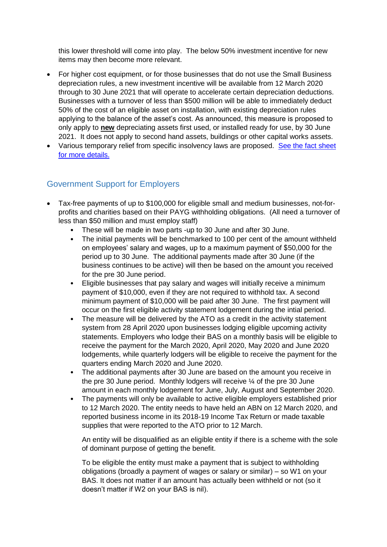this lower threshold will come into play. The below 50% investment incentive for new items may then become more relevant.

- For higher cost equipment, or for those businesses that do not use the Small Business depreciation rules, a new investment incentive will be available from 12 March 2020 through to 30 June 2021 that will operate to accelerate certain depreciation deductions. Businesses with a turnover of less than \$500 million will be able to immediately deduct 50% of the cost of an eligible asset on installation, with existing depreciation rules applying to the balance of the asset's cost. As announced, this measure is proposed to only apply to **new** depreciating assets first used, or installed ready for use, by 30 June 2021. It does not apply to second hand assets, buildings or other capital works assets.
- Various temporary relief from specific insolvency laws are proposed. See the fact sheet [for more details](https://treasury.gov.au/sites/default/files/2020-03/Fact_sheet-Providing_temporary_relief_for_financially_distressed_businesses.pdf).

# Government Support for Employers

- Tax-free payments of up to \$100,000 for eligible small and medium businesses, not-forprofits and charities based on their PAYG withholding obligations. (All need a turnover of less than \$50 million and must employ staff)
	- These will be made in two parts -up to 30 June and after 30 June.
	- The initial payments will be benchmarked to 100 per cent of the amount withheld on employees' salary and wages, up to a maximum payment of \$50,000 for the period up to 30 June. The additional payments made after 30 June (if the business continues to be active) will then be based on the amount you received for the pre 30 June period.
	- Eligible businesses that pay salary and wages will initially receive a minimum payment of \$10,000, even if they are not required to withhold tax. A second minimum payment of \$10,000 will be paid after 30 June. The first payment will occur on the first eligible activity statement lodgement during the intial period.
	- The measure will be delivered by the ATO as a credit in the activity statement system from 28 April 2020 upon businesses lodging eligible upcoming activity statements. Employers who lodge their BAS on a monthly basis will be eligible to receive the payment for the March 2020, April 2020, May 2020 and June 2020 lodgements, while quarterly lodgers will be eligible to receive the payment for the quarters ending March 2020 and June 2020.
	- The additional payments after 30 June are based on the amount you receive in the pre 30 June period. Monthly lodgers will receive ¼ of the pre 30 June amount in each monthly lodgement for June, July, August and September 2020.
	- The payments will only be available to active eligible employers established prior to 12 March 2020. The entity needs to have held an ABN on 12 March 2020, and reported business income in its 2018-19 Income Tax Return or made taxable supplies that were reported to the ATO prior to 12 March.

An entity will be disqualified as an eligible entity if there is a scheme with the sole of dominant purpose of getting the benefit.

To be eligible the entity must make a payment that is subject to withholding obligations (broadly a payment of wages or salary or similar) – so W1 on your BAS. It does not matter if an amount has actually been withheld or not (so it doesn't matter if W2 on your BAS is nil).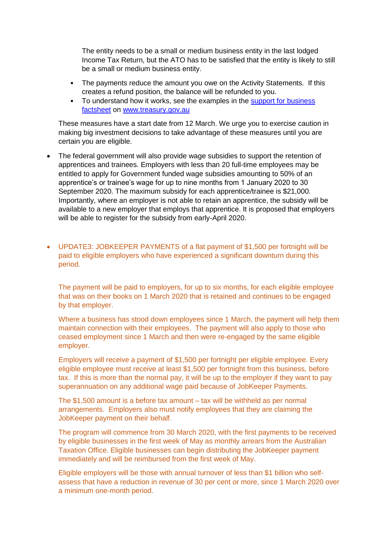The entity needs to be a small or medium business entity in the last lodged Income Tax Return, but the ATO has to be satisfied that the entity is likely to still be a small or medium business entity.

- The payments reduce the amount you owe on the Activity Statements. If this creates a refund position, the balance will be refunded to you.
- To understand how it works, see the examples in the support for business [factsheet](https://treasury.gov.au/sites/default/files/2020-03/Fact_sheet-Cash_flow_assistance_for_businesses_0.pdf) o[n www.treasury.gov.au](https://treasury.gov.au/)

These measures have a start date from 12 March. We urge you to exercise caution in making big investment decisions to take advantage of these measures until you are certain you are eligible.

- The federal government will also provide wage subsidies to support the retention of apprentices and trainees. Employers with less than 20 full-time employees may be entitled to apply for Government funded wage subsidies amounting to 50% of an apprentice's or trainee's wage for up to nine months from 1 January 2020 to 30 September 2020. The maximum subsidy for each apprentice/trainee is \$21,000. Importantly, where an employer is not able to retain an apprentice, the subsidy will be available to a new employer that employs that apprentice. It is proposed that employers will be able to register for the subsidy from early-April 2020.
- UPDATE3: JOBKEEPER PAYMENTS of a flat payment of \$1,500 per fortnight will be paid to eligible employers who have experienced a significant downturn during this period.

The payment will be paid to employers, for up to six months, for each eligible employee that was on their books on 1 March 2020 that is retained and continues to be engaged by that employer.

Where a business has stood down employees since 1 March, the payment will help them maintain connection with their employees. The payment will also apply to those who ceased employment since 1 March and then were re-engaged by the same eligible employer.

Employers will receive a payment of \$1,500 per fortnight per eligible employee. Every eligible employee must receive at least \$1,500 per fortnight from this business, before tax. If this is more than the normal pay, it will be up to the employer if they want to pay superannuation on any additional wage paid because of JobKeeper Payments.

The \$1,500 amount is a before tax amount – tax will be withheld as per normal arrangements. Employers also must notify employees that they are claiming the JobKeeper payment on their behalf.

The program will commence from 30 March 2020, with the first payments to be received by eligible businesses in the first week of May as monthly arrears from the Australian Taxation Office. Eligible businesses can begin distributing the JobKeeper payment immediately and will be reimbursed from the first week of May.

Eligible employers will be those with annual turnover of less than \$1 billion who selfassess that have a reduction in revenue of 30 per cent or more, since 1 March 2020 over a minimum one-month period.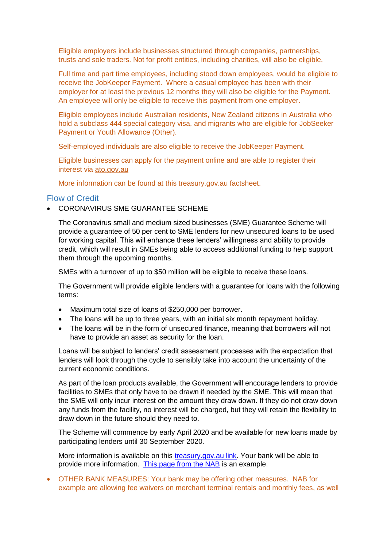Eligible employers include businesses structured through companies, partnerships, trusts and sole traders. Not for profit entities, including charities, will also be eligible.

Full time and part time employees, including stood down employees, would be eligible to receive the JobKeeper Payment. Where a casual employee has been with their employer for at least the previous 12 months they will also be eligible for the Payment. An employee will only be eligible to receive this payment from one employer.

Eligible employees include Australian residents, New Zealand citizens in Australia who hold a subclass 444 special category visa, and migrants who are eligible for JobSeeker Payment or Youth Allowance (Other).

Self-employed individuals are also eligible to receive the JobKeeper Payment.

Eligible businesses can apply for the payment online and are able to register their interest via [ato.gov.au](https://www.ato.gov.au/general/gen/JobKeeper-payment/)

More information can be found at [this treasury.gov.au factsheet.](https://treasury.gov.au/sites/default/files/2020-03/Fact_sheet_Info_for_Employers_0.pdf)

#### Flow of Credit

CORONAVIRUS SME GUARANTEE SCHEME

The Coronavirus small and medium sized businesses (SME) Guarantee Scheme will provide a guarantee of 50 per cent to SME lenders for new unsecured loans to be used for working capital. This will enhance these lenders' willingness and ability to provide credit, which will result in SMEs being able to access additional funding to help support them through the upcoming months.

SMEs with a turnover of up to \$50 million will be eligible to receive these loans.

The Government will provide eligible lenders with a guarantee for loans with the following terms:

- Maximum total size of loans of \$250,000 per borrower.
- The loans will be up to three years, with an initial six month repayment holiday.
- The loans will be in the form of unsecured finance, meaning that borrowers will not have to provide an asset as security for the loan.

Loans will be subject to lenders' credit assessment processes with the expectation that lenders will look through the cycle to sensibly take into account the uncertainty of the current economic conditions.

As part of the loan products available, the Government will encourage lenders to provide facilities to SMEs that only have to be drawn if needed by the SME. This will mean that the SME will only incur interest on the amount they draw down. If they do not draw down any funds from the facility, no interest will be charged, but they will retain the flexibility to draw down in the future should they need to.

The Scheme will commence by early April 2020 and be available for new loans made by participating lenders until 30 September 2020.

More information is available on this [treasury.gov.au link.](https://treasury.gov.au/coronavirus/sme-guarantee-scheme) Your bank will be able to provide more information. [This page from the NAB](https://www.nab.com.au/personal/customer-support/covid19-help/business-support-loans) is an example.

 OTHER BANK MEASURES: Your bank may be offering other measures. NAB for example are allowing fee waivers on merchant terminal rentals and monthly fees, as well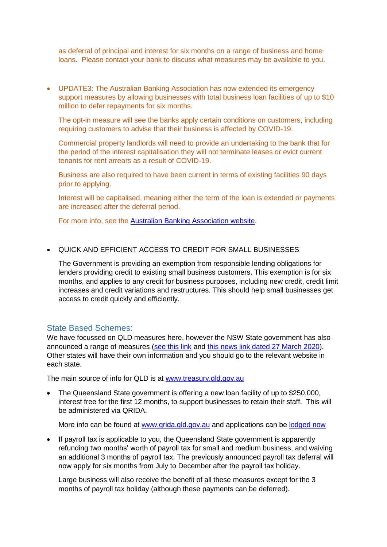as deferral of principal and interest for six months on a range of business and home loans. Please contact your bank to discuss what measures may be available to you.

 UPDATE3: The Australian Banking Association has now extended its emergency support measures by allowing businesses with total business loan facilities of up to \$10 million to defer repayments for six months.

The opt-in measure will see the banks apply certain conditions on customers, including requiring customers to advise that their business is affected by COVID-19.

Commercial property landlords will need to provide an undertaking to the bank that for the period of the interest capitalisation they will not terminate leases or evict current tenants for rent arrears as a result of COVID-19.

Business are also required to have been current in terms of existing facilities 90 days prior to applying.

Interest will be capitalised, meaning either the term of the loan is extended or payments are increased after the deferral period.

For more info, see the [Australian Banking Association website.](https://www.ausbanking.org.au/campaigns/financial-hardship/)

QUICK AND EFFICIENT ACCESS TO CREDIT FOR SMALL BUSINESSES

The Government is providing an exemption from responsible lending obligations for lenders providing credit to existing small business customers. This exemption is for six months, and applies to any credit for business purposes, including new credit, credit limit increases and credit variations and restructures. This should help small businesses get access to credit quickly and efficiently.

#### State Based Schemes:

We have focussed on QLD measures here, however the NSW State government has also announced a range of measures [\(see this link](https://preview.nsw.gov.au/covid-19) an[d this news link dated 27 March 2020\)](https://preview.nsw.gov.au/news/billions-tax-relief-for-business-1-billion-fund-for-jobs-and-help-for-vulnerable). Other states will have their own information and you should go to the relevant website in each state.

The main source of info for QLD is at [www.treasury.qld.gov.au](https://www.treasury.qld.gov.au/programs-and-policies/covid19-package/)

 The Queensland State government is offering a new loan facility of up to \$250,000, interest free for the first 12 months, to support businesses to retain their staff. This will be administered via QRIDA.

More info can be found at [www.qrida.qld.gov.au](http://www.qrida.qld.gov.au/) and applications can be [lodged now](http://www.qrida.qld.gov.au/current-programs/covid-19-business-support/queensland-covid19-jobs-support-scheme)

• If payroll tax is applicable to you, the Queensland State government is apparently refunding two months' worth of payroll tax for small and medium business, and waiving an additional 3 months of payroll tax. The previously announced payroll tax deferral will now apply for six months from July to December after the payroll tax holiday.

Large business will also receive the benefit of all these measures except for the 3 months of payroll tax holiday (although these payments can be deferred).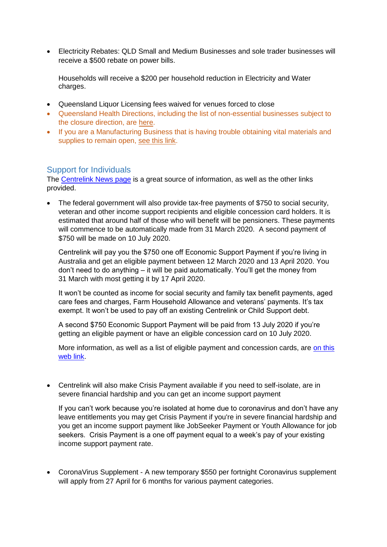Electricity Rebates: QLD Small and Medium Businesses and sole trader businesses will receive a \$500 rebate on power bills.

Households will receive a \$200 per household reduction in Electricity and Water charges.

- Queensland Liquor Licensing fees waived for venues forced to close
- Queensland Health Directions, including the list of non-essential businesses subject to the closure direction, are [here.](https://www.health.qld.gov.au/system-governance/legislation/cho-public-health-directions-under-expanded-public-health-act-powers)
- If you are a Manufacturing Business that is having trouble obtaining vital materials and supplies to remain open, [see this link.](http://dsdmip.qld.gov.au/index.php/industry/industry-support-dsd/manufacturer-s-supply-matching-request-form/view/form)

#### Support for Individuals

Th[e Centrelink News page](https://www.servicesaustralia.gov.au/individuals/news/all) is a great source of information, as well as the other links provided.

 The federal government will also provide tax-free payments of \$750 to social security, veteran and other income support recipients and eligible concession card holders. It is estimated that around half of those who will benefit will be pensioners. These payments will commence to be automatically made from 31 March 2020. A second payment of \$750 will be made on 10 July 2020.

Centrelink will pay you the \$750 one off Economic Support Payment if you're living in Australia and get an eligible payment between 12 March 2020 and 13 April 2020. You don't need to do anything – it will be paid automatically. You'll get the money from 31 March with most getting it by 17 April 2020.

It won't be counted as income for social security and family tax benefit payments, aged care fees and charges, Farm Household Allowance and veterans' payments. It's tax exempt. It won't be used to pay off an existing Centrelink or Child Support debt.

A second \$750 Economic Support Payment will be paid from 13 July 2020 if you're getting an eligible payment or have an eligible concession card on 10 July 2020.

More information, as well as a list of eligible payment and concession cards, are [on this](https://www.servicesaustralia.gov.au/individuals/news/750-one-economic-support-payment)  [web link.](https://www.servicesaustralia.gov.au/individuals/news/750-one-economic-support-payment)

 Centrelink will also make Crisis Payment available if you need to self-isolate, are in severe financial hardship and you can get an income support payment

If you can't work because you're isolated at home due to coronavirus and don't have any leave entitlements you may get Crisis Payment if you're in severe financial hardship and you get an income support payment like JobSeeker Payment or Youth Allowance for job seekers. Crisis Payment is a one off payment equal to a week's pay of your existing income support payment rate.

 CoronaVirus Supplement - A new temporary \$550 per fortnight Coronavirus supplement will apply from 27 April for 6 months for various payment categories.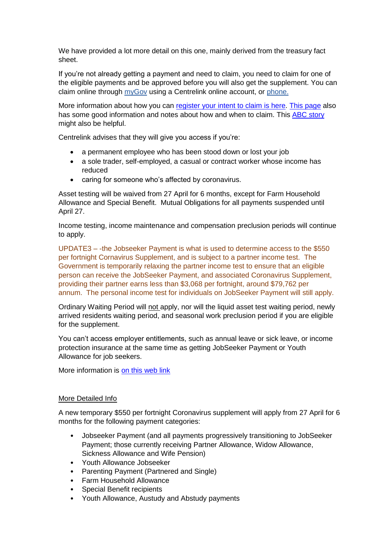We have provided a lot more detail on this one, mainly derived from the treasury fact sheet.

If you're not already getting a payment and need to claim, you need to claim for one of the eligible payments and be approved before you will also get the supplement. You can claim online through [myGov](https://www.servicesaustralia.gov.au/individuals/subjects/about-mygov) using a Centrelink online account, or [phone.](https://www.servicesaustralia.gov.au/individuals/contact-us/phone-us)

More information about how you can [register your intent to claim is here.](https://www.servicesaustralia.gov.au/individuals/subjects/affected-coronavirus-covid-19/if-you-need-payment-coronavirus-covid-19/how-register-your-intention-claim-centrelink-payment-coronavirus-covid-19) [This page](https://www.servicesaustralia.gov.au/individuals/news/more-financial-support-coronavirus-affected-job-seekers) also has some good information and notes about how and when to claim. This [ABC story](https://www.abc.net.au/news/2020-03-23/coronavirus-supplement-payment-what-is-it-and-how-to-apply/12080326) might also be helpful.

Centrelink advises that they will give you access if you're:

- a permanent employee who has been stood down or lost your job
- a sole trader, self-employed, a casual or contract worker whose income has reduced
- caring for someone who's affected by coronavirus.

Asset testing will be waived from 27 April for 6 months, except for Farm Household Allowance and Special Benefit. Mutual Obligations for all payments suspended until April 27.

Income testing, income maintenance and compensation preclusion periods will continue to apply.

UPDATE3 – -the Jobseeker Payment is what is used to determine access to the \$550 per fortnight Cornavirus Supplement, and is subject to a partner income test. The Government is temporarily relaxing the partner income test to ensure that an eligible person can receive the JobSeeker Payment, and associated Coronavirus Supplement, providing their partner earns less than \$3,068 per fortnight, around \$79,762 per annum. The personal income test for individuals on JobSeeker Payment will still apply.

Ordinary Waiting Period will not apply, nor will the liquid asset test waiting period, newly arrived residents waiting period, and seasonal work preclusion period if you are eligible for the supplement.

You can't access employer entitlements, such as annual leave or sick leave, or income protection insurance at the same time as getting JobSeeker Payment or Youth Allowance for job seekers.

More information is [on this web link](https://www.servicesaustralia.gov.au/individuals/news/more-financial-support-coronavirus-affected-job-seekers-and-students)

#### More Detailed Info

A new temporary \$550 per fortnight Coronavirus supplement will apply from 27 April for 6 months for the following payment categories:

- Jobseeker Payment (and all payments progressively transitioning to JobSeeker Payment; those currently receiving Partner Allowance, Widow Allowance, Sickness Allowance and Wife Pension)
- Youth Allowance Jobseeker
- Parenting Payment (Partnered and Single)
- Farm Household Allowance
- Special Benefit recipients
- Youth Allowance, Austudy and Abstudy payments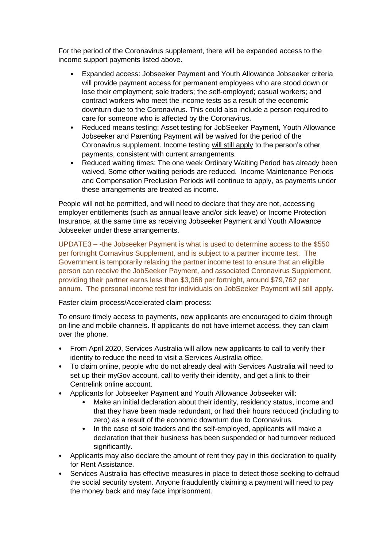For the period of the Coronavirus supplement, there will be expanded access to the income support payments listed above.

- Expanded access: Jobseeker Payment and Youth Allowance Jobseeker criteria will provide payment access for permanent employees who are stood down or lose their employment; sole traders; the self-employed; casual workers; and contract workers who meet the income tests as a result of the economic downturn due to the Coronavirus. This could also include a person required to care for someone who is affected by the Coronavirus.
- Reduced means testing: Asset testing for JobSeeker Payment, Youth Allowance Jobseeker and Parenting Payment will be waived for the period of the Coronavirus supplement. Income testing will still apply to the person's other payments, consistent with current arrangements.
- Reduced waiting times: The one week Ordinary Waiting Period has already been waived. Some other waiting periods are reduced. Income Maintenance Periods and Compensation Preclusion Periods will continue to apply, as payments under these arrangements are treated as income.

People will not be permitted, and will need to declare that they are not, accessing employer entitlements (such as annual leave and/or sick leave) or Income Protection Insurance, at the same time as receiving Jobseeker Payment and Youth Allowance Jobseeker under these arrangements.

UPDATE3 – -the Jobseeker Payment is what is used to determine access to the \$550 per fortnight Cornavirus Supplement, and is subject to a partner income test. The Government is temporarily relaxing the partner income test to ensure that an eligible person can receive the JobSeeker Payment, and associated Coronavirus Supplement, providing their partner earns less than \$3,068 per fortnight, around \$79,762 per annum. The personal income test for individuals on JobSeeker Payment will still apply.

#### Faster claim process/Accelerated claim process:

To ensure timely access to payments, new applicants are encouraged to claim through on-line and mobile channels. If applicants do not have internet access, they can claim over the phone.

- From April 2020, Services Australia will allow new applicants to call to verify their identity to reduce the need to visit a Services Australia office.
- To claim online, people who do not already deal with Services Australia will need to set up their myGov account, call to verify their identity, and get a link to their Centrelink online account.
- Applicants for Jobseeker Payment and Youth Allowance Jobseeker will:
	- Make an initial declaration about their identity, residency status, income and that they have been made redundant, or had their hours reduced (including to zero) as a result of the economic downturn due to Coronavirus.
	- In the case of sole traders and the self-employed, applicants will make a declaration that their business has been suspended or had turnover reduced significantly.
- Applicants may also declare the amount of rent they pay in this declaration to qualify for Rent Assistance.
- Services Australia has effective measures in place to detect those seeking to defraud the social security system. Anyone fraudulently claiming a payment will need to pay the money back and may face imprisonment.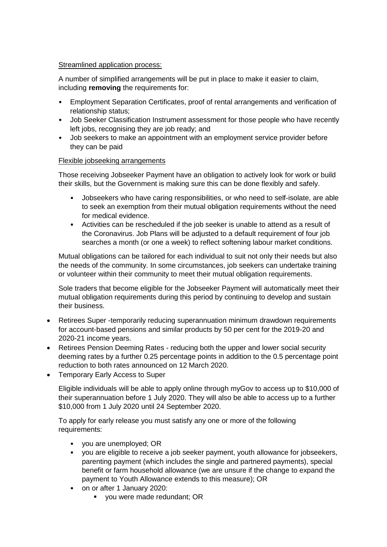#### Streamlined application process:

A number of simplified arrangements will be put in place to make it easier to claim, including **removing** the requirements for:

- Employment Separation Certificates, proof of rental arrangements and verification of relationship status;
- Job Seeker Classification Instrument assessment for those people who have recently left jobs, recognising they are job ready; and
- Job seekers to make an appointment with an employment service provider before they can be paid

#### Flexible jobseeking arrangements

Those receiving Jobseeker Payment have an obligation to actively look for work or build their skills, but the Government is making sure this can be done flexibly and safely.

- Jobseekers who have caring responsibilities, or who need to self-isolate, are able to seek an exemption from their mutual obligation requirements without the need for medical evidence.
- Activities can be rescheduled if the job seeker is unable to attend as a result of the Coronavirus. Job Plans will be adjusted to a default requirement of four job searches a month (or one a week) to reflect softening labour market conditions.

Mutual obligations can be tailored for each individual to suit not only their needs but also the needs of the community. In some circumstances, job seekers can undertake training or volunteer within their community to meet their mutual obligation requirements.

Sole traders that become eligible for the Jobseeker Payment will automatically meet their mutual obligation requirements during this period by continuing to develop and sustain their business.

- Retirees Super -temporarily reducing superannuation minimum drawdown requirements for account-based pensions and similar products by 50 per cent for the 2019-20 and 2020-21 income years.
- Retirees Pension Deeming Rates reducing both the upper and lower social security deeming rates by a further 0.25 percentage points in addition to the 0.5 percentage point reduction to both rates announced on 12 March 2020.
- Temporary Early Access to Super

Eligible individuals will be able to apply online through myGov to access up to \$10,000 of their superannuation before 1 July 2020. They will also be able to access up to a further \$10,000 from 1 July 2020 until 24 September 2020.

To apply for early release you must satisfy any one or more of the following requirements:

- you are unemployed; OR
- you are eligible to receive a job seeker payment, youth allowance for jobseekers, parenting payment (which includes the single and partnered payments), special benefit or farm household allowance (we are unsure if the change to expand the payment to Youth Allowance extends to this measure); OR
- on or after 1 January 2020:
	- **vou were made redundant: OR**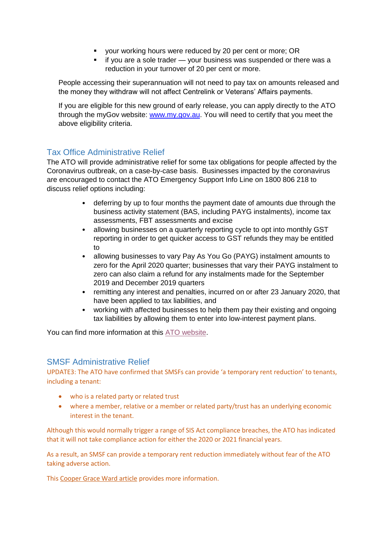- your working hours were reduced by 20 per cent or more; OR
- **i** if you are a sole trader your business was suspended or there was a reduction in your turnover of 20 per cent or more.

People accessing their superannuation will not need to pay tax on amounts released and the money they withdraw will not affect Centrelink or Veterans' Affairs payments.

If you are eligible for this new ground of early release, you can apply directly to the ATO through the myGov website: [www.my.gov.au.](http://www.my.gov.au/) You will need to certify that you meet the above eligibility criteria.

# Tax Office Administrative Relief

The ATO will provide administrative relief for some tax obligations for people affected by the Coronavirus outbreak, on a case-by-case basis. Businesses impacted by the coronavirus are encouraged to contact the ATO Emergency Support Info Line on 1800 806 218 to discuss relief options including:

- deferring by up to four months the payment date of amounts due through the business activity statement (BAS, including PAYG instalments), income tax assessments, FBT assessments and excise
- allowing businesses on a quarterly reporting cycle to opt into monthly GST reporting in order to get quicker access to GST refunds they may be entitled to
- allowing businesses to vary Pay As You Go (PAYG) instalment amounts to zero for the April 2020 quarter; businesses that vary their PAYG instalment to zero can also claim a refund for any instalments made for the September 2019 and December 2019 quarters
- remitting any interest and penalties, incurred on or after 23 January 2020, that have been applied to tax liabilities, and
- working with affected businesses to help them pay their existing and ongoing tax liabilities by allowing them to enter into low-interest payment plans.

You can find more information at thi[s ATO website.](https://www.ato.gov.au/Individuals/Dealing-with-disasters/In-detail/Specific-disasters/COVID-19/)

## SMSF Administrative Relief

UPDATE3: The ATO have confirmed that SMSFs can provide 'a temporary rent reduction' to tenants, including a tenant:

- who is a related party or related trust
- where a member, relative or a member or related party/trust has an underlying economic interest in the tenant.

Although this would normally trigger a range of SIS Act compliance breaches, the ATO has indicated that it will not take compliance action for either the 2020 or 2021 financial years.

As a result, an SMSF can provide a temporary rent reduction immediately without fear of the ATO taking adverse action.

Thi[s Cooper Grace Ward article](https://www.cgw.com.au/publication/smsf-landlords-ato-provides-guidance-on-providing-temporary-covid-19-rent-reduction/?utm_campaign=SMSF%20landlords%3A%20ATO%20provides%20guidance%20on%20providing%20temporary%20COVID-19%20rent%20reduction&utm_source=hs_email&utm_medium=email&utm_content=85431128&_hsenc=p2ANqtz-_1kmN-nfMgsZl5xleeP0RcJPX0B4GwZakJHLufnZO-1g7VVV5pCs8NqsK2CPYbd6K57cux5yypCQASURiSO7pVlpDPisFJ6TmGu3kxr3gPcdR1rLI&_hsmi=85431128) provides more information.